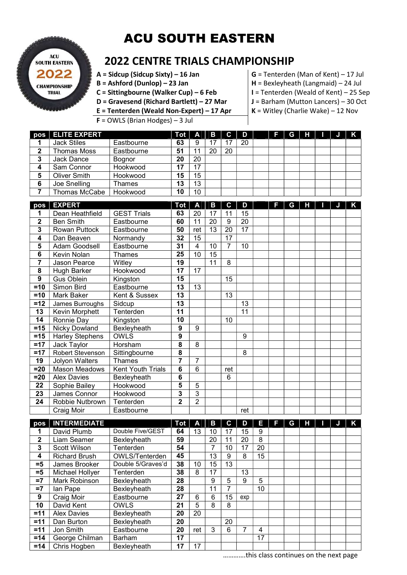## ACU SOUTH EASTERN



## 2022 CENTRE TRIALS CHAMPIONSHIP

- $A = Sidcup (Sidcup Sixty) 16 Jan$  G = Tenterden (Man of Kent) 17 Jul
- 
- C = Sittingbourne (Walker Cup) 6 Feb  $\vert$  I = Tenterden (Weald of Kent) 25 Sep
- $B =$  Ashford (Dunlop) 23 Jan  $H =$  Bexleyheath (Langmaid) 24 Jul
	-
- D = Gravesend (Richard Bartlett) 27 Mar  $J =$  Barham (Mutton Lancers) 30 Oct
- **E** = Tenterden (Weald Non-Expert) 17 Apr  $K =$  Witley (Charlie Wake) 12 Nov
- F = OWLS (Brian Hodges) 3 Jul
- 

|   | pos   ELITE EXPERT |               | $\overline{d}$ Tot $\overline{A}$ $\overline{B}$ |    |    | $C \parallel D$ |    | F 11 | G I |  |  |
|---|--------------------|---------------|--------------------------------------------------|----|----|-----------------|----|------|-----|--|--|
|   | <b>Jack Stiles</b> | Eastbourne    | 63                                               | 9  |    |                 | 20 |      |     |  |  |
| າ | <b>Thomas Moss</b> | Eastbourne    | 51                                               | 11 | 20 | 20              |    |      |     |  |  |
| 3 | Jack Dance         | <b>Bognor</b> | 20                                               | 20 |    |                 |    |      |     |  |  |
| 4 | Sam Connor         | Hookwood      | 17                                               | 17 |    |                 |    |      |     |  |  |
| 5 | Oliver Smith       | Hookwood      | 15                                               | 15 |    |                 |    |      |     |  |  |
| 6 | Joe Snelling       | Thames        | 13                                               | 13 |    |                 |    |      |     |  |  |
|   | Thomas McCabe      | Hookwood      | 10                                               | 10 |    |                 |    |      |     |  |  |

| pos            | <b>EXPERT</b>          |                    | <b>Tot</b>     | A              | В  | C               | D               | Е | G | н |  |  |
|----------------|------------------------|--------------------|----------------|----------------|----|-----------------|-----------------|---|---|---|--|--|
| 1              | Dean Heathfield        | <b>GEST Trials</b> | 63             | 20             | 17 | 11              | 15              |   |   |   |  |  |
| $\overline{2}$ | <b>Ben Smith</b>       | Eastbourne         | 60             | 11             | 20 | 9               | 20              |   |   |   |  |  |
| 3              | <b>Rowan Puttock</b>   | Eastbourne         | 50             | ret            | 13 | 20              | $\overline{17}$ |   |   |   |  |  |
| 4              | Dan Beaven             | Normandy           | 32             | 15             |    | 17              |                 |   |   |   |  |  |
| 5              | Adam Goodsell          | Eastbourne         | 31             | 4              | 10 | 7               | 10              |   |   |   |  |  |
| 6              | Kevin Nolan            | Thames             | 25             | 10             | 15 |                 |                 |   |   |   |  |  |
| $\overline{7}$ | Jason Pearce           | Witley             | 19             |                | 11 | 8               |                 |   |   |   |  |  |
| 8              | Hugh Barker            | Hookwood           | 17             | 17             |    |                 |                 |   |   |   |  |  |
| 9              | Gus Oblein             | Kingston           | 15             |                |    | 15              |                 |   |   |   |  |  |
| $=10$          | Simon Bird             | Eastbourne         | 13             | 13             |    |                 |                 |   |   |   |  |  |
| $=10$          | Mark Baker             | Kent & Sussex      | 13             |                |    | 13              |                 |   |   |   |  |  |
| $=12$          | James Burroughs        | Sidcup             | 13             |                |    |                 | 13              |   |   |   |  |  |
| 13             | Kevin Morphett         | Tenterden          | 11             |                |    |                 | 11              |   |   |   |  |  |
| 14             | Ronnie Day             | Kingston           | 10             |                |    | 10              |                 |   |   |   |  |  |
| $=15$          | Nicky Dowland          | Bexleyheath        | 9              | 9              |    |                 |                 |   |   |   |  |  |
| $=15$          | <b>Harley Stephens</b> | <b>OWLS</b>        | 9              |                |    |                 | 9               |   |   |   |  |  |
| $=17$          | Jack Taylor            | Horsham            | 8              | 8              |    |                 |                 |   |   |   |  |  |
| $=17$          | Robert Stevenson       | Sittingbourne      | 8              |                |    |                 | 8               |   |   |   |  |  |
| 19             | Jolyon Walters         | <b>Thames</b>      | 7              | $\overline{7}$ |    |                 |                 |   |   |   |  |  |
| $= 20$         | <b>Mason Meadows</b>   | Kent Youth Trials  | 6              | 6              |    | ret             |                 |   |   |   |  |  |
| $=20$          | <b>Alex Davies</b>     | Bexleyheath        | $\overline{6}$ |                |    | $6\phantom{1}6$ |                 |   |   |   |  |  |
| 22             | Sophie Bailey          | Hookwood           | 5              | 5              |    |                 |                 |   |   |   |  |  |
| 23             | James Connor           | Hookwood           | 3              | 3              |    |                 |                 |   |   |   |  |  |
| 24             | Robbie Nutbrown        | Tenterden          | $\mathbf{2}$   | $\overline{2}$ |    |                 |                 |   |   |   |  |  |
|                | Craig Moir             | Eastbourne         |                |                |    |                 | ret             |   |   |   |  |  |

| pos          | <b>INTERMEDIATE</b>  |                       | Tot | A   | В  | C               | D   | н  | 47 | G | н |  |  |
|--------------|----------------------|-----------------------|-----|-----|----|-----------------|-----|----|----|---|---|--|--|
|              | David Plumb          | Double Five/GEST      | 64  | 13  | 10 | 17              | 15  | 9  |    |   |   |  |  |
| $\mathbf{2}$ | Liam Seamer          | Bexleyheath           | 59  |     | 20 | 11              | 20  | 8  |    |   |   |  |  |
| 3            | <b>Scott Wilson</b>  | Tenterden             | 54  |     | 7  | 10              | 17  | 20 |    |   |   |  |  |
| 4            | <b>Richard Brush</b> | <b>OWLS/Tenterden</b> | 45  |     | 13 | 9               | 8   | 15 |    |   |   |  |  |
| $= 5$        | James Brooker        | Double 5/Graves'd     | 38  | 10  | 15 | 13 <sup>2</sup> |     |    |    |   |   |  |  |
| $= 5$        | Michael Hollyer      | Tenterden             | 38  | 8   | 17 |                 | 13  |    |    |   |   |  |  |
| $=7$         | Mark Robinson        | Bexleyheath           | 28  |     | 9  | 5               | 9   | 5  |    |   |   |  |  |
| $=7$         | lan Pape             | Bexleyheath           | 28  |     | 11 |                 |     | 10 |    |   |   |  |  |
| 9            | Craig Moir           | Eastbourne            | 27  | 6   | 6  | 15              | exp |    |    |   |   |  |  |
| 10           | David Kent           | <b>OWLS</b>           | 21  | 5   | 8  | 8               |     |    |    |   |   |  |  |
| $=11$        | <b>Alex Davies</b>   | Bexleyheath           | 20  | 20  |    |                 |     |    |    |   |   |  |  |
| $=11$        | Dan Burton           | Bexleyheath           | 20  |     |    | 20              |     |    |    |   |   |  |  |
| $=11$        | Jon Smith            | Eastbourne            | 20  | ret | 3  | 6               |     | 4  |    |   |   |  |  |
| $=14$        | George Chilman       | Barham                | 17  |     |    |                 |     | 17 |    |   |   |  |  |
| $=14$        | Chris Hogben         | Bexleyheath           | 17  | 17  |    |                 |     |    |    |   |   |  |  |

………….this class continues on the next page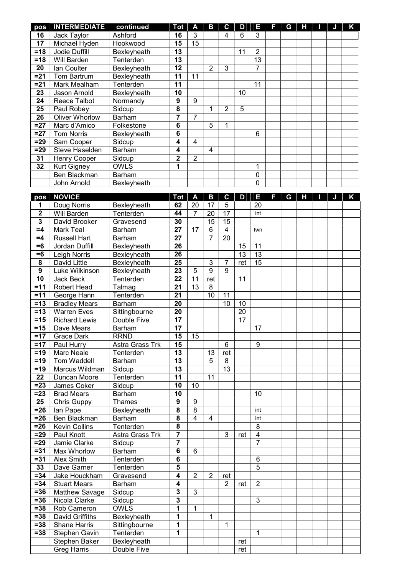| pos              | <b>INTERMEDIATE</b>      | continued             | <b>Tot</b>              | $\overline{\mathbf{A}}$ | $\mathbf{B}$   | $\mathbf c$     | D   | E              | IF. | G | Н | IJ | K |
|------------------|--------------------------|-----------------------|-------------------------|-------------------------|----------------|-----------------|-----|----------------|-----|---|---|----|---|
| 16               | Jack Taylor              | Ashford               | 16                      | 3                       |                | $\overline{4}$  | 6   | 3              |     |   |   |    |   |
| 17               | Michael Hyden            | Hookwood              | 15                      | 15                      |                |                 |     |                |     |   |   |    |   |
| $=18$            | Jodie Duffill            | Bexleyheath           | $\overline{13}$         |                         |                |                 | 11  | $\overline{2}$ |     |   |   |    |   |
| $=18$            | Will Barden              | Tenterden             | $\overline{13}$         |                         |                |                 |     | 13             |     |   |   |    |   |
| 20               | Ian Coulter              | Bexleyheath           | $\overline{12}$         |                         | $\overline{2}$ | 3               |     | 7              |     |   |   |    |   |
| $= 21$           | Tom Bartrum              | Bexleyheath           | $\overline{11}$         | 11                      |                |                 |     |                |     |   |   |    |   |
| $= 21$           | Mark Mealham             | Tenterden             | $\overline{11}$         |                         |                |                 |     | 11             |     |   |   |    |   |
| 23               | Jason Arnold             | Bexleyheath           | 10                      |                         |                |                 | 10  |                |     |   |   |    |   |
| 24               | Reece Talbot             | Normandy              | 9                       | 9                       |                |                 |     |                |     |   |   |    |   |
| 25               | Paul Robey               | Sidcup                | 8                       |                         | 1              | 2               | 5   |                |     |   |   |    |   |
| 26               | <b>Oliver Whorlow</b>    | Barham                | $\overline{7}$          | $\overline{7}$          |                |                 |     |                |     |   |   |    |   |
| $=27$            | Marc d'Amico             | Folkestone            | 6                       |                         | 5              | 1               |     |                |     |   |   |    |   |
| $=27$            | <b>Tom Norris</b>        | Bexleyheath           | 6                       |                         |                |                 |     | 6              |     |   |   |    |   |
| $=29$            | Sam Cooper               | Sidcup                | 4                       | $\overline{4}$          |                |                 |     |                |     |   |   |    |   |
| $=29$            | Steve Haselden           | Barham                | 4                       |                         | $\overline{4}$ |                 |     |                |     |   |   |    |   |
| 31               | <b>Henry Cooper</b>      | Sidcup                | $\overline{2}$          | $\overline{2}$          |                |                 |     |                |     |   |   |    |   |
| 32               | <b>Kurt Gigney</b>       | <b>OWLS</b>           | 1                       |                         |                |                 |     | 1              |     |   |   |    |   |
|                  | <b>Ben Blackman</b>      | Barham                |                         |                         |                |                 |     | $\mathbf 0$    |     |   |   |    |   |
|                  | John Arnold              | Bexleyheath           |                         |                         |                |                 |     | 0              |     |   |   |    |   |
|                  | pos   NOVICE             |                       | <b>Tot</b>              | A                       | B              | $\mathbf c$     | D   | Ε              | IF. | G | н | JI | K |
| 1                | Doug Norris              | Bexleyheath           | 62                      | 20                      | 17             | $\sqrt{5}$      |     | 20             |     |   |   |    |   |
| $\mathbf 2$      | <b>Will Barden</b>       | Tenterden             | 44                      | 7                       | 20             | 17              |     | int            |     |   |   |    |   |
| 3                | David Brooker            | Gravesend             | 30                      |                         | 15             | 15              |     |                |     |   |   |    |   |
| $=4$             | <b>Mark Teal</b>         | Barham                | $\overline{27}$         | 17                      | 6              | $\overline{4}$  |     | twn            |     |   |   |    |   |
| $=4$             | <b>Russell Hart</b>      | Barham                | 27                      |                         | 7              | 20              |     |                |     |   |   |    |   |
| $=6$             | Jordan Duffill           | Bexleyheath           | 26                      |                         |                |                 | 15  | 11             |     |   |   |    |   |
| $= 6$            | Leigh Norris             | Bexleyheath           | 26                      |                         |                |                 | 13  | 13             |     |   |   |    |   |
| 8                | David Little             | Bexleyheath           | 25                      |                         | 3              | 7               | ret | 15             |     |   |   |    |   |
| $\boldsymbol{9}$ | Luke Wilkinson           | Bexleyheath           | 23                      | 5                       | 9              | 9               |     |                |     |   |   |    |   |
| $\overline{10}$  | Jack Beck                | Tenterden             | 22                      | 11                      | ret            |                 | 11  |                |     |   |   |    |   |
| $=11$            | Robert Head              | Talmag                | 21                      | $\overline{13}$         | 8              |                 |     |                |     |   |   |    |   |
| $=11$            | George Hann              | Tenterden             | 21                      |                         | 10             | 11              |     |                |     |   |   |    |   |
| $=13$            | <b>Bradley Mears</b>     | Barham                | 20                      |                         |                | 10              | 10  |                |     |   |   |    |   |
| $=13$            | <b>Warren Eves</b>       | Sittingbourne         | 20                      |                         |                |                 | 20  |                |     |   |   |    |   |
| $=15$            | <b>Richard Lewis</b>     | Double Five           | 17                      |                         |                |                 | 17  |                |     |   |   |    |   |
| $=15$            | Dave Mears               | Barham                | 17                      |                         |                |                 |     | 17             |     |   |   |    |   |
| $=17$            | <b>Grace Dark</b>        | <b>RRND</b>           | 15                      | 15                      |                |                 |     |                |     |   |   |    |   |
| $=17$            | Paul Hurry               | Astra Grass Trk       | 15                      |                         |                | 6               |     | 9              |     |   |   |    |   |
| $=19$            | <b>Marc Neale</b>        | Tenterden             | 13                      |                         | 13             | ret             |     |                |     |   |   |    |   |
| $=19$            | Tom Waddell              | Barham                | 13                      |                         | 5              | 8               |     |                |     |   |   |    |   |
| $=19$            | Marcus Wildman           | Sidcup                | 13                      |                         |                | $\overline{13}$ |     |                |     |   |   |    |   |
| 22               | Duncan Moore             | Tenterden             | 11                      |                         | 11             |                 |     |                |     |   |   |    |   |
| $= 23$           | James Coker              | Sidcup                | 10                      | 10                      |                |                 |     |                |     |   |   |    |   |
| $= 23$           | <b>Brad Mears</b>        | Barham                | 10                      |                         |                |                 |     | 10             |     |   |   |    |   |
| 25<br>$= 26$     | Chris Guppy              | <b>Thames</b>         | $\boldsymbol{9}$<br>8   | 9                       |                |                 |     |                |     |   |   |    |   |
| $= 26$           | lan Pape<br>Ben Blackman | Bexleyheath<br>Barham | 8                       | 8<br>$\overline{4}$     | $\overline{4}$ |                 |     | int<br>int     |     |   |   |    |   |
| $= 26$           | <b>Kevin Collins</b>     | Tenterden             | 8                       |                         |                |                 |     | 8              |     |   |   |    |   |
| $=29$            | Paul Knott               | Astra Grass Trk       | 7                       |                         |                | 3               | ret | $\overline{4}$ |     |   |   |    |   |
| $=29$            | Jamie Clarke             | Sidcup                | 7                       |                         |                |                 |     | $\overline{7}$ |     |   |   |    |   |
| $= 31$           | Max Whorlow              | Barham                | 6                       | 6                       |                |                 |     |                |     |   |   |    |   |
| $= 31$           | Alex Smith               | Tenterden             | 6                       |                         |                |                 |     | 6              |     |   |   |    |   |
| 33               | Dave Garner              | Tenterden             | 5                       |                         |                |                 |     | 5              |     |   |   |    |   |
| $= 34$           | Jake Houckham            | Gravesend             | 4                       | $\overline{2}$          | $\overline{2}$ | ret             |     |                |     |   |   |    |   |
| $= 34$           | <b>Stuart Mears</b>      | <b>Barham</b>         | 4                       |                         |                | $\overline{2}$  | ret | $\overline{2}$ |     |   |   |    |   |
| $= 36$           | <b>Matthew Savage</b>    | Sidcup                | 3                       | 3                       |                |                 |     |                |     |   |   |    |   |
| $= 36$           | Nicola Clarke            | Sidcup                | $\overline{\mathbf{3}}$ |                         |                |                 |     | 3              |     |   |   |    |   |
| $= 38$           | Rob Cameron              | <b>OWLS</b>           | 1                       | $\mathbf{1}$            |                |                 |     |                |     |   |   |    |   |
| $= 38$           | David Griffiths          | Bexleyheath           | 1                       |                         | 1              |                 |     |                |     |   |   |    |   |
| $= 38$           | <b>Shane Harris</b>      | Sittingbourne         | 1                       |                         |                | 1               |     |                |     |   |   |    |   |
| $= 38$           | Stephen Gavin            | Tenterden             | 1                       |                         |                |                 |     | 1              |     |   |   |    |   |
|                  | Stephen Baker            | Bexleyheath           |                         |                         |                |                 | ret |                |     |   |   |    |   |
|                  | <b>Greg Harris</b>       | Double Five           |                         |                         |                |                 | ret |                |     |   |   |    |   |